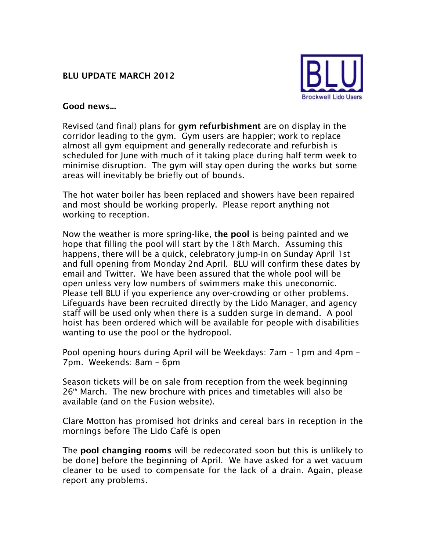## **BLU UPDATE MARCH 2012**



## **Good news...**

Revised (and final) plans for **gym refurbishment** are on display in the corridor leading to the gym. Gym users are happier; work to replace almost all gym equipment and generally redecorate and refurbish is scheduled for June with much of it taking place during half term week to minimise disruption. The gym will stay open during the works but some areas will inevitably be briefly out of bounds.

The hot water boiler has been replaced and showers have been repaired and most should be working properly. Please report anything not working to reception.

Now the weather is more spring-like, **the pool** is being painted and we hope that filling the pool will start by the 18th March. Assuming this happens, there will be a quick, celebratory jump-in on Sunday April 1st and full opening from Monday 2nd April. BLU will confirm these dates by email and Twitter. We have been assured that the whole pool will be open unless very low numbers of swimmers make this uneconomic. Please tell BLU if you experience any over-crowding or other problems. Lifeguards have been recruited directly by the Lido Manager, and agency staff will be used only when there is a sudden surge in demand. A pool hoist has been ordered which will be available for people with disabilities wanting to use the pool or the hydropool.

Pool opening hours during April will be Weekdays: 7am – 1pm and 4pm – 7pm. Weekends: 8am – 6pm

Season tickets will be on sale from reception from the week beginning  $26<sup>th</sup>$  March. The new brochure with prices and timetables will also be available (and on the Fusion website).

Clare Motton has promised hot drinks and cereal bars in reception in the mornings before The Lido Café is open

The **pool changing rooms** will be redecorated soon but this is unlikely to be done] before the beginning of April. We have asked for a wet vacuum cleaner to be used to compensate for the lack of a drain. Again, please report any problems.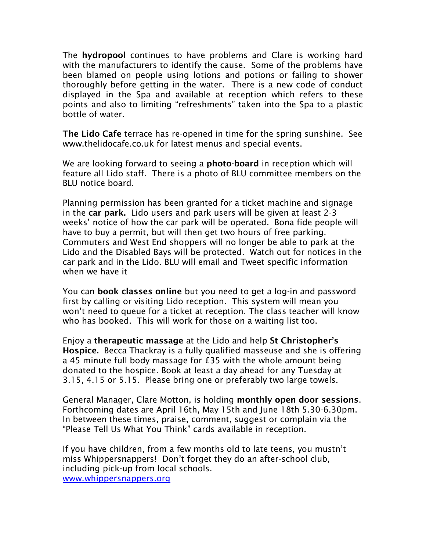The **hydropool** continues to have problems and Clare is working hard with the manufacturers to identify the cause. Some of the problems have been blamed on people using lotions and potions or failing to shower thoroughly before getting in the water. There is a new code of conduct displayed in the Spa and available at reception which refers to these points and also to limiting "refreshments" taken into the Spa to a plastic bottle of water.

**The Lido Cafe** terrace has re-opened in time for the spring sunshine. See www.thelidocafe.co.uk for latest menus and special events.

We are looking forward to seeing a **photo-board** in reception which will feature all Lido staff. There is a photo of BLU committee members on the BLU notice board.

Planning permission has been granted for a ticket machine and signage in the **car park.** Lido users and park users will be given at least 2-3 weeks' notice of how the car park will be operated. Bona fide people will have to buy a permit, but will then get two hours of free parking. Commuters and West End shoppers will no longer be able to park at the Lido and the Disabled Bays will be protected. Watch out for notices in the car park and in the Lido. BLU will email and Tweet specific information when we have it

You can **book classes online** but you need to get a log-in and password first by calling or visiting Lido reception. This system will mean you won't need to queue for a ticket at reception. The class teacher will know who has booked. This will work for those on a waiting list too.

Enjoy a **therapeutic massage** at the Lido and help **St Christopher's Hospice.** Becca Thackray is a fully qualified masseuse and she is offering a 45 minute full body massage for £35 with the whole amount being donated to the hospice. Book at least a day ahead for any Tuesday at 3.15, 4.15 or 5.15. Please bring one or preferably two large towels.

General Manager, Clare Motton, is holding **monthly open door sessions**. Forthcoming dates are April 16th, May 15th and June 18th 5.30-6.30pm. In between these times, praise, comment, suggest or complain via the "Please Tell Us What You Think" cards available in reception.

If you have children, from a few months old to late teens, you mustn't miss Whippersnappers! Don't forget they do an after-school club, including pick-up from local schools. [www.whippersnappers.org](http://www.whippersnappers.org/)